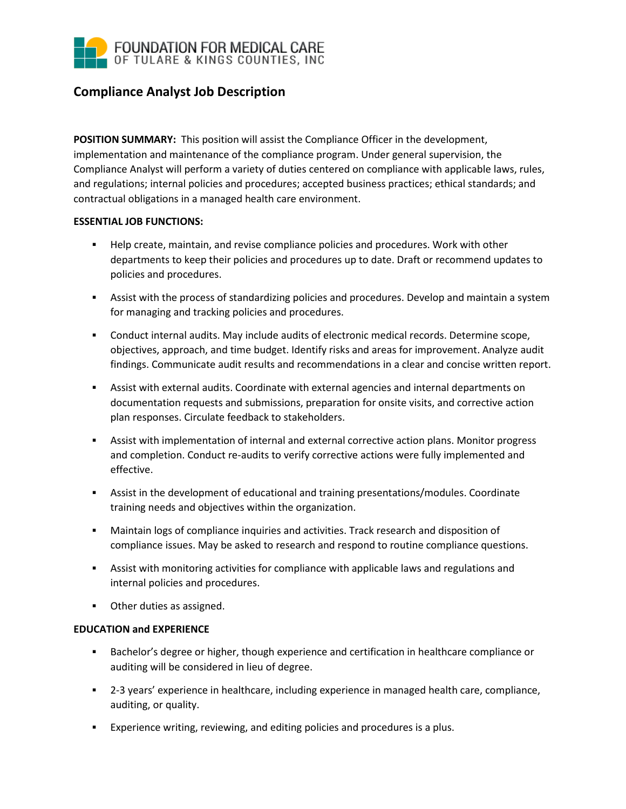

## **Compliance Analyst Job Description**

**POSITION SUMMARY:** This position will assist the Compliance Officer in the development, implementation and maintenance of the compliance program. Under general supervision, the Compliance Analyst will perform a variety of duties centered on compliance with applicable laws, rules, and regulations; internal policies and procedures; accepted business practices; ethical standards; and contractual obligations in a managed health care environment.

## **ESSENTIAL JOB FUNCTIONS:**

- Help create, maintain, and revise compliance policies and procedures. Work with other departments to keep their policies and procedures up to date. Draft or recommend updates to policies and procedures.
- Assist with the process of standardizing policies and procedures. Develop and maintain a system for managing and tracking policies and procedures.
- Conduct internal audits. May include audits of electronic medical records. Determine scope, objectives, approach, and time budget. Identify risks and areas for improvement. Analyze audit findings. Communicate audit results and recommendations in a clear and concise written report.
- Assist with external audits. Coordinate with external agencies and internal departments on documentation requests and submissions, preparation for onsite visits, and corrective action plan responses. Circulate feedback to stakeholders.
- Assist with implementation of internal and external corrective action plans. Monitor progress and completion. Conduct re-audits to verify corrective actions were fully implemented and effective.
- Assist in the development of educational and training presentations/modules. Coordinate training needs and objectives within the organization.
- Maintain logs of compliance inquiries and activities. Track research and disposition of compliance issues. May be asked to research and respond to routine compliance questions.
- Assist with monitoring activities for compliance with applicable laws and regulations and internal policies and procedures.
- Other duties as assigned.

## **EDUCATION and EXPERIENCE**

- Bachelor's degree or higher, though experience and certification in healthcare compliance or auditing will be considered in lieu of degree.
- 2-3 years' experience in healthcare, including experience in managed health care, compliance, auditing, or quality.
- Experience writing, reviewing, and editing policies and procedures is a plus.